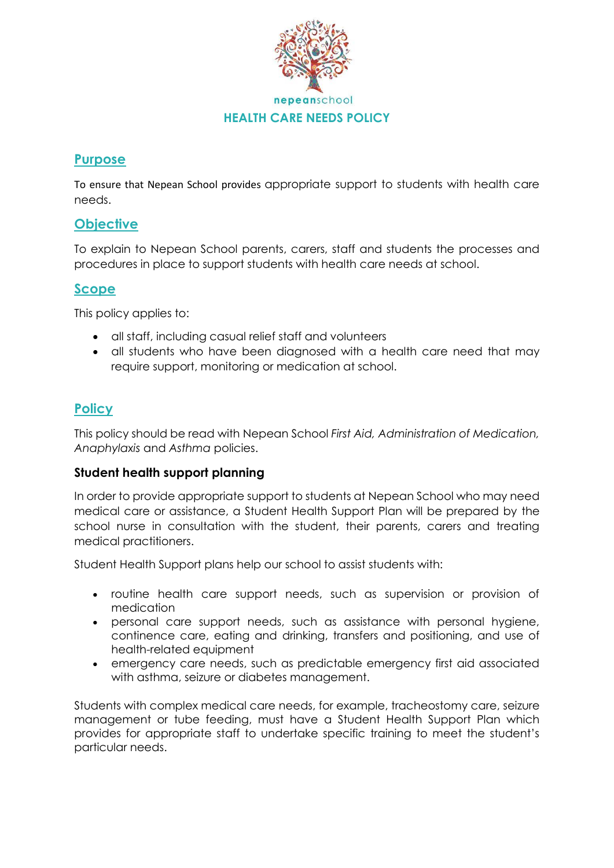

## **Purpose**

To ensure that Nepean School provides appropriate support to students with health care needs.

# **Objective**

To explain to Nepean School parents, carers, staff and students the processes and procedures in place to support students with health care needs at school.

## **Scope**

This policy applies to:

- all staff, including casual relief staff and volunteers
- all students who have been diagnosed with a health care need that may require support, monitoring or medication at school.

# **Policy**

This policy should be read with Nepean School *First Aid, Administration of Medication, Anaphylaxis* and *Asthma* policies.

### **Student health support planning**

In order to provide appropriate support to students at Nepean School who may need medical care or assistance, a Student Health Support Plan will be prepared by the school nurse in consultation with the student, their parents, carers and treating medical practitioners.

Student Health Support plans help our school to assist students with:

- routine health care support needs, such as supervision or provision of medication
- personal care support needs, such as assistance with personal hygiene, continence care, eating and drinking, transfers and positioning, and use of health-related equipment
- emergency care needs, such as predictable emergency first aid associated with asthma, seizure or diabetes management.

Students with complex medical care needs, for example, tracheostomy care, seizure management or tube feeding, must have a Student Health Support Plan which provides for appropriate staff to undertake specific training to meet the student's particular needs.